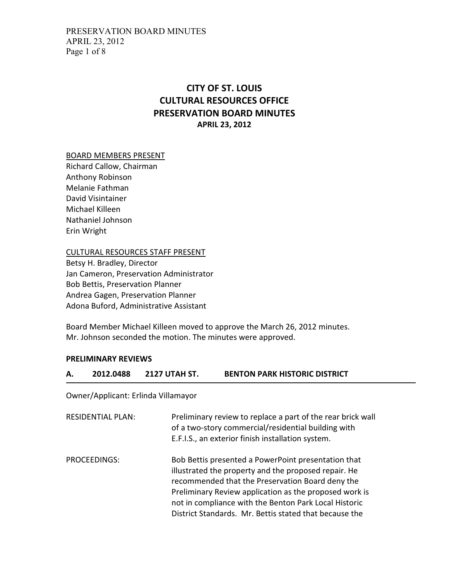# CITY OF ST. LOUIS CULTURAL RESOURCES OFFICE PRESERVATION BOARD MINUTES APRIL 23, 2012

#### BOARD MEMBERS PRESENT

Richard Callow, Chairman Anthony Robinson Melanie Fathman David Visintainer Michael Killeen Nathaniel Johnson Erin Wright

CULTURAL RESOURCES STAFF PRESENT

Betsy H. Bradley, Director Jan Cameron, Preservation Administrator Bob Bettis, Preservation Planner Andrea Gagen, Preservation Planner Adona Buford, Administrative Assistant

Board Member Michael Killeen moved to approve the March 26, 2012 minutes. Mr. Johnson seconded the motion. The minutes were approved.

## PRELIMINARY REVIEWS

## A. 2012.0488 2127 UTAH ST. BENTON PARK HISTORIC DISTRICT

Owner/Applicant: Erlinda Villamayor

| <b>RESIDENTIAL PLAN:</b> | Preliminary review to replace a part of the rear brick wall<br>of a two-story commercial/residential building with<br>E.F.I.S., an exterior finish installation system.                                                                                                                                                                      |
|--------------------------|----------------------------------------------------------------------------------------------------------------------------------------------------------------------------------------------------------------------------------------------------------------------------------------------------------------------------------------------|
| PROCEEDINGS:             | Bob Bettis presented a PowerPoint presentation that<br>illustrated the property and the proposed repair. He<br>recommended that the Preservation Board deny the<br>Preliminary Review application as the proposed work is<br>not in compliance with the Benton Park Local Historic<br>District Standards. Mr. Bettis stated that because the |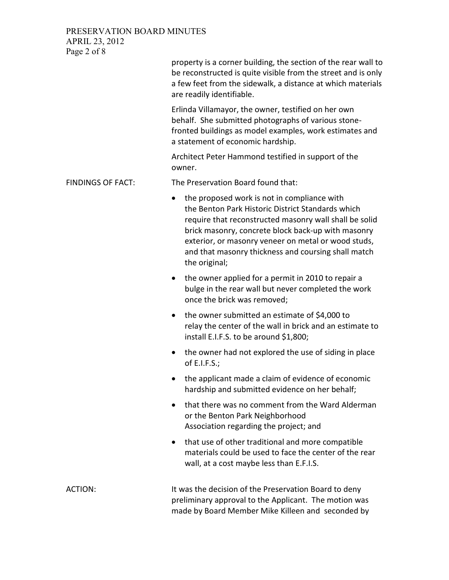PRESERVATION BOARD MINUTES APRIL 23, 2012 Page 2 of 8

| property is a corner building, the section of the rear wall to |  |
|----------------------------------------------------------------|--|
| be reconstructed is quite visible from the street and is only  |  |
| a few feet from the sidewalk, a distance at which materials    |  |
| are readily identifiable.                                      |  |

Erlinda Villamayor, the owner, testified on her own behalf. She submitted photographs of various stonefronted buildings as model examples, work estimates and a statement of economic hardship.

Architect Peter Hammond testified in support of the owner.

FINDINGS OF FACT: The Preservation Board found that:

- the proposed work is not in compliance with the Benton Park Historic District Standards which require that reconstructed masonry wall shall be solid brick masonry, concrete block back-up with masonry exterior, or masonry veneer on metal or wood studs, and that masonry thickness and coursing shall match the original;
- the owner applied for a permit in 2010 to repair a bulge in the rear wall but never completed the work once the brick was removed;
- the owner submitted an estimate of \$4,000 to relay the center of the wall in brick and an estimate to install E.I.F.S. to be around \$1,800;
- the owner had not explored the use of siding in place of E.I.F.S.;
- the applicant made a claim of evidence of economic hardship and submitted evidence on her behalf;
- that there was no comment from the Ward Alderman or the Benton Park Neighborhood Association regarding the project; and
- that use of other traditional and more compatible materials could be used to face the center of the rear wall, at a cost maybe less than E.F.I.S.

ACTION: It was the decision of the Preservation Board to deny preliminary approval to the Applicant. The motion was made by Board Member Mike Killeen and seconded by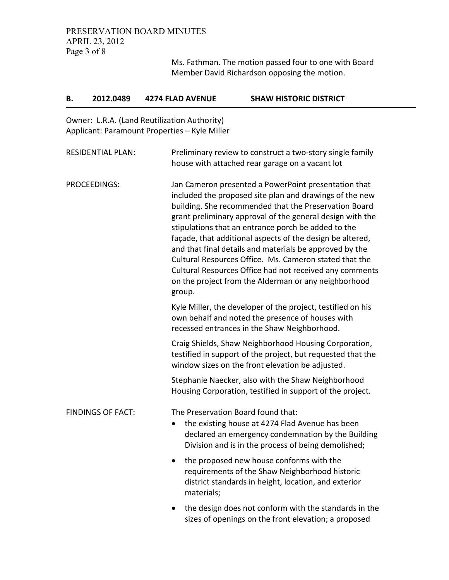Ms. Fathman. The motion passed four to one with Board Member David Richardson opposing the motion.

| В.                       | 2012.0489                | <b>4274 FLAD AVENUE</b>                                                                                                                                                                            | <b>SHAW HISTORIC DISTRICT</b>                                                                                                                                                                                                                                                                                                                                                                                                                                                                                                                                                                     |  |  |
|--------------------------|--------------------------|----------------------------------------------------------------------------------------------------------------------------------------------------------------------------------------------------|---------------------------------------------------------------------------------------------------------------------------------------------------------------------------------------------------------------------------------------------------------------------------------------------------------------------------------------------------------------------------------------------------------------------------------------------------------------------------------------------------------------------------------------------------------------------------------------------------|--|--|
|                          |                          | Owner: L.R.A. (Land Reutilization Authority)<br>Applicant: Paramount Properties - Kyle Miller                                                                                                      |                                                                                                                                                                                                                                                                                                                                                                                                                                                                                                                                                                                                   |  |  |
|                          | <b>RESIDENTIAL PLAN:</b> |                                                                                                                                                                                                    | Preliminary review to construct a two-story single family<br>house with attached rear garage on a vacant lot                                                                                                                                                                                                                                                                                                                                                                                                                                                                                      |  |  |
| PROCEEDINGS:             |                          | group.                                                                                                                                                                                             | Jan Cameron presented a PowerPoint presentation that<br>included the proposed site plan and drawings of the new<br>building. She recommended that the Preservation Board<br>grant preliminary approval of the general design with the<br>stipulations that an entrance porch be added to the<br>façade, that additional aspects of the design be altered,<br>and that final details and materials be approved by the<br>Cultural Resources Office. Ms. Cameron stated that the<br>Cultural Resources Office had not received any comments<br>on the project from the Alderman or any neighborhood |  |  |
|                          |                          |                                                                                                                                                                                                    | Kyle Miller, the developer of the project, testified on his<br>own behalf and noted the presence of houses with<br>recessed entrances in the Shaw Neighborhood.                                                                                                                                                                                                                                                                                                                                                                                                                                   |  |  |
|                          |                          |                                                                                                                                                                                                    | Craig Shields, Shaw Neighborhood Housing Corporation,<br>testified in support of the project, but requested that the<br>window sizes on the front elevation be adjusted.                                                                                                                                                                                                                                                                                                                                                                                                                          |  |  |
|                          |                          |                                                                                                                                                                                                    | Stephanie Naecker, also with the Shaw Neighborhood<br>Housing Corporation, testified in support of the project.                                                                                                                                                                                                                                                                                                                                                                                                                                                                                   |  |  |
| <b>FINDINGS OF FACT:</b> |                          | The Preservation Board found that:<br>the existing house at 4274 Flad Avenue has been<br>declared an emergency condemnation by the Building<br>Division and is in the process of being demolished; |                                                                                                                                                                                                                                                                                                                                                                                                                                                                                                                                                                                                   |  |  |
|                          | materials;               | the proposed new house conforms with the<br>requirements of the Shaw Neighborhood historic<br>district standards in height, location, and exterior                                                 |                                                                                                                                                                                                                                                                                                                                                                                                                                                                                                                                                                                                   |  |  |
|                          |                          |                                                                                                                                                                                                    | the design does not conform with the standards in the<br>sizes of openings on the front elevation; a proposed                                                                                                                                                                                                                                                                                                                                                                                                                                                                                     |  |  |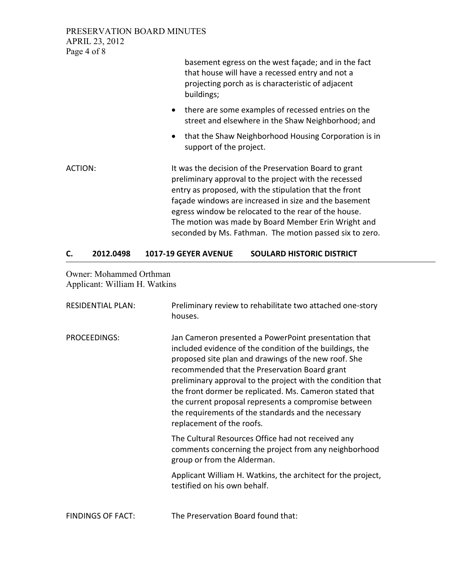PRESERVATION BOARD MINUTES APRIL 23, 2012 Page 4 of 8

> basement egress on the west façade; and in the fact that house will have a recessed entry and not a projecting porch as is characteristic of adjacent buildings;

- there are some examples of recessed entries on the street and elsewhere in the Shaw Neighborhood; and
- that the Shaw Neighborhood Housing Corporation is in support of the project.
- ACTION: It was the decision of the Preservation Board to grant preliminary approval to the project with the recessed entry as proposed, with the stipulation that the front façade windows are increased in size and the basement egress window be relocated to the rear of the house. The motion was made by Board Member Erin Wright and seconded by Ms. Fathman. The motion passed six to zero.

## C. 2012.0498 1017-19 GEYER AVENUE SOULARD HISTORIC DISTRICT

Owner: Mohammed Orthman Applicant: William H. Watkins

| <b>RESIDENTIAL PLAN:</b> | Preliminary review to rehabilitate two attached one-story<br>houses.                                                                                                                                                                                                                                                                                                                                                                                                                            |
|--------------------------|-------------------------------------------------------------------------------------------------------------------------------------------------------------------------------------------------------------------------------------------------------------------------------------------------------------------------------------------------------------------------------------------------------------------------------------------------------------------------------------------------|
| PROCEEDINGS:             | Jan Cameron presented a PowerPoint presentation that<br>included evidence of the condition of the buildings, the<br>proposed site plan and drawings of the new roof. She<br>recommended that the Preservation Board grant<br>preliminary approval to the project with the condition that<br>the front dormer be replicated. Ms. Cameron stated that<br>the current proposal represents a compromise between<br>the requirements of the standards and the necessary<br>replacement of the roofs. |
|                          | The Cultural Resources Office had not received any<br>comments concerning the project from any neighborhood<br>group or from the Alderman.                                                                                                                                                                                                                                                                                                                                                      |
|                          | Applicant William H. Watkins, the architect for the project,<br>testified on his own behalf.                                                                                                                                                                                                                                                                                                                                                                                                    |
| <b>FINDINGS OF FACT:</b> | The Preservation Board found that:                                                                                                                                                                                                                                                                                                                                                                                                                                                              |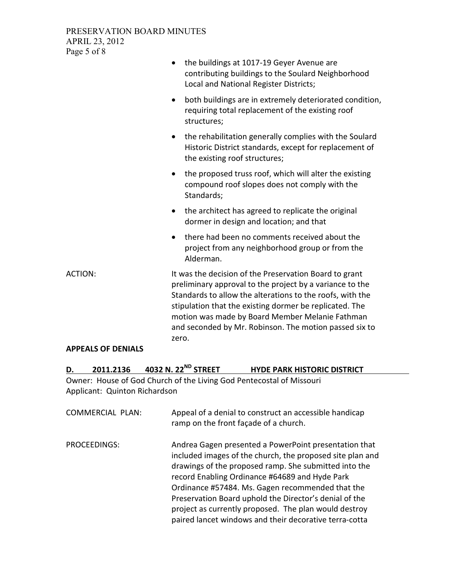## PRESERVATION BOARD MINUTES APRIL 23, 2012 Page 5 of 8

|                | the buildings at 1017-19 Geyer Avenue are<br>$\bullet$<br>contributing buildings to the Soulard Neighborhood<br>Local and National Register Districts;                                                                                                                                                                                                           |
|----------------|------------------------------------------------------------------------------------------------------------------------------------------------------------------------------------------------------------------------------------------------------------------------------------------------------------------------------------------------------------------|
|                | both buildings are in extremely deteriorated condition,<br>$\bullet$<br>requiring total replacement of the existing roof<br>structures;                                                                                                                                                                                                                          |
|                | the rehabilitation generally complies with the Soulard<br>$\bullet$<br>Historic District standards, except for replacement of<br>the existing roof structures;                                                                                                                                                                                                   |
|                | the proposed truss roof, which will alter the existing<br>$\bullet$<br>compound roof slopes does not comply with the<br>Standards;                                                                                                                                                                                                                               |
|                | the architect has agreed to replicate the original<br>$\bullet$<br>dormer in design and location; and that                                                                                                                                                                                                                                                       |
|                | there had been no comments received about the<br>project from any neighborhood group or from the<br>Alderman.                                                                                                                                                                                                                                                    |
| <b>ACTION:</b> | It was the decision of the Preservation Board to grant<br>preliminary approval to the project by a variance to the<br>Standards to allow the alterations to the roofs, with the<br>stipulation that the existing dormer be replicated. The<br>motion was made by Board Member Melanie Fathman<br>and seconded by Mr. Robinson. The motion passed six to<br>zero. |

## APPEALS OF DENIALS

| 2011.2136 | 4032 N. 22 <sup>ND</sup> STREET | <b>HYDE PARK HISTORIC DISTRICT</b> |
|-----------|---------------------------------|------------------------------------|
|           |                                 |                                    |

Owner: House of God Church of the Living God Pentecostal of Missouri Applicant: Quinton Richardson

| <b>COMMERCIAL PLAN:</b> | Appeal of a denial to construct an accessible handicap<br>ramp on the front façade of a church.                                                                                                                                                                                                                                                                                                                                                                |
|-------------------------|----------------------------------------------------------------------------------------------------------------------------------------------------------------------------------------------------------------------------------------------------------------------------------------------------------------------------------------------------------------------------------------------------------------------------------------------------------------|
| PROCEEDINGS:            | Andrea Gagen presented a PowerPoint presentation that<br>included images of the church, the proposed site plan and<br>drawings of the proposed ramp. She submitted into the<br>record Enabling Ordinance #64689 and Hyde Park<br>Ordinance #57484. Ms. Gagen recommended that the<br>Preservation Board uphold the Director's denial of the<br>project as currently proposed. The plan would destroy<br>paired lancet windows and their decorative terra-cotta |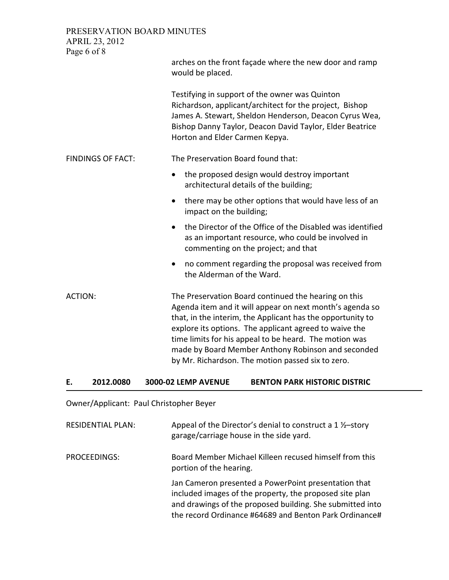PRESERVATION BOARD MINUTES APRIL 23, 2012 Page 6 of 8 arches on the front façade where the new door and ramp would be placed. Testifying in support of the owner was Quinton Richardson, applicant/architect for the project, Bishop James A. Stewart, Sheldon Henderson, Deacon Cyrus Wea, Bishop Danny Taylor, Deacon David Taylor, Elder Beatrice Horton and Elder Carmen Kepya. FINDINGS OF FACT: The Preservation Board found that: • the proposed design would destroy important architectural details of the building; • there may be other options that would have less of an impact on the building; • the Director of the Office of the Disabled was identified as an important resource, who could be involved in commenting on the project; and that • no comment regarding the proposal was received from the Alderman of the Ward. ACTION: The Preservation Board continued the hearing on this Agenda item and it will appear on next month's agenda so that, in the interim, the Applicant has the opportunity to explore its options. The applicant agreed to waive the time limits for his appeal to be heard. The motion was made by Board Member Anthony Robinson and seconded by Mr. Richardson. The motion passed six to zero.

#### E. 2012.0080 3000-02 LEMP AVENUE BENTON PARK HISTORIC DISTRIC

Owner/Applicant: Paul Christopher Beyer

| <b>RESIDENTIAL PLAN:</b> | Appeal of the Director's denial to construct a $1\frac{1}{2}$ -story<br>garage/carriage house in the side yard.                                                                                                                        |
|--------------------------|----------------------------------------------------------------------------------------------------------------------------------------------------------------------------------------------------------------------------------------|
| PROCEEDINGS:             | Board Member Michael Killeen recused himself from this<br>portion of the hearing.                                                                                                                                                      |
|                          | Jan Cameron presented a PowerPoint presentation that<br>included images of the property, the proposed site plan<br>and drawings of the proposed building. She submitted into<br>the record Ordinance #64689 and Benton Park Ordinance# |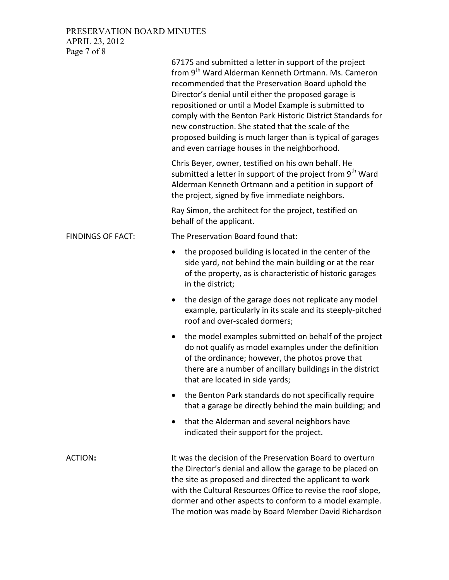## PRESERVATION BOARD MINUTES APRIL 23, 2012

Page 7 of 8

|                          | 67175 and submitted a letter in support of the project<br>from 9 <sup>th</sup> Ward Alderman Kenneth Ortmann. Ms. Cameron<br>recommended that the Preservation Board uphold the<br>Director's denial until either the proposed garage is<br>repositioned or until a Model Example is submitted to<br>comply with the Benton Park Historic District Standards for<br>new construction. She stated that the scale of the<br>proposed building is much larger than is typical of garages<br>and even carriage houses in the neighborhood. |
|--------------------------|----------------------------------------------------------------------------------------------------------------------------------------------------------------------------------------------------------------------------------------------------------------------------------------------------------------------------------------------------------------------------------------------------------------------------------------------------------------------------------------------------------------------------------------|
|                          | Chris Beyer, owner, testified on his own behalf. He<br>submitted a letter in support of the project from 9 <sup>th</sup> Ward<br>Alderman Kenneth Ortmann and a petition in support of<br>the project, signed by five immediate neighbors.                                                                                                                                                                                                                                                                                             |
|                          | Ray Simon, the architect for the project, testified on<br>behalf of the applicant.                                                                                                                                                                                                                                                                                                                                                                                                                                                     |
| <b>FINDINGS OF FACT:</b> | The Preservation Board found that:                                                                                                                                                                                                                                                                                                                                                                                                                                                                                                     |
|                          | the proposed building is located in the center of the<br>side yard, not behind the main building or at the rear<br>of the property, as is characteristic of historic garages<br>in the district;                                                                                                                                                                                                                                                                                                                                       |
|                          | the design of the garage does not replicate any model<br>$\bullet$<br>example, particularly in its scale and its steeply-pitched<br>roof and over-scaled dormers;                                                                                                                                                                                                                                                                                                                                                                      |
|                          | the model examples submitted on behalf of the project<br>$\bullet$<br>do not qualify as model examples under the definition<br>of the ordinance; however, the photos prove that<br>there are a number of ancillary buildings in the district<br>that are located in side yards;                                                                                                                                                                                                                                                        |
|                          | the Benton Park standards do not specifically require<br>$\bullet$<br>that a garage be directly behind the main building; and                                                                                                                                                                                                                                                                                                                                                                                                          |
|                          | that the Alderman and several neighbors have<br>$\bullet$<br>indicated their support for the project.                                                                                                                                                                                                                                                                                                                                                                                                                                  |
| ACTION:                  | It was the decision of the Preservation Board to overturn<br>the Director's denial and allow the garage to be placed on<br>the site as proposed and directed the applicant to work<br>with the Cultural Resources Office to revise the roof slope,<br>dormer and other aspects to conform to a model example.<br>The motion was made by Board Member David Richardson                                                                                                                                                                  |